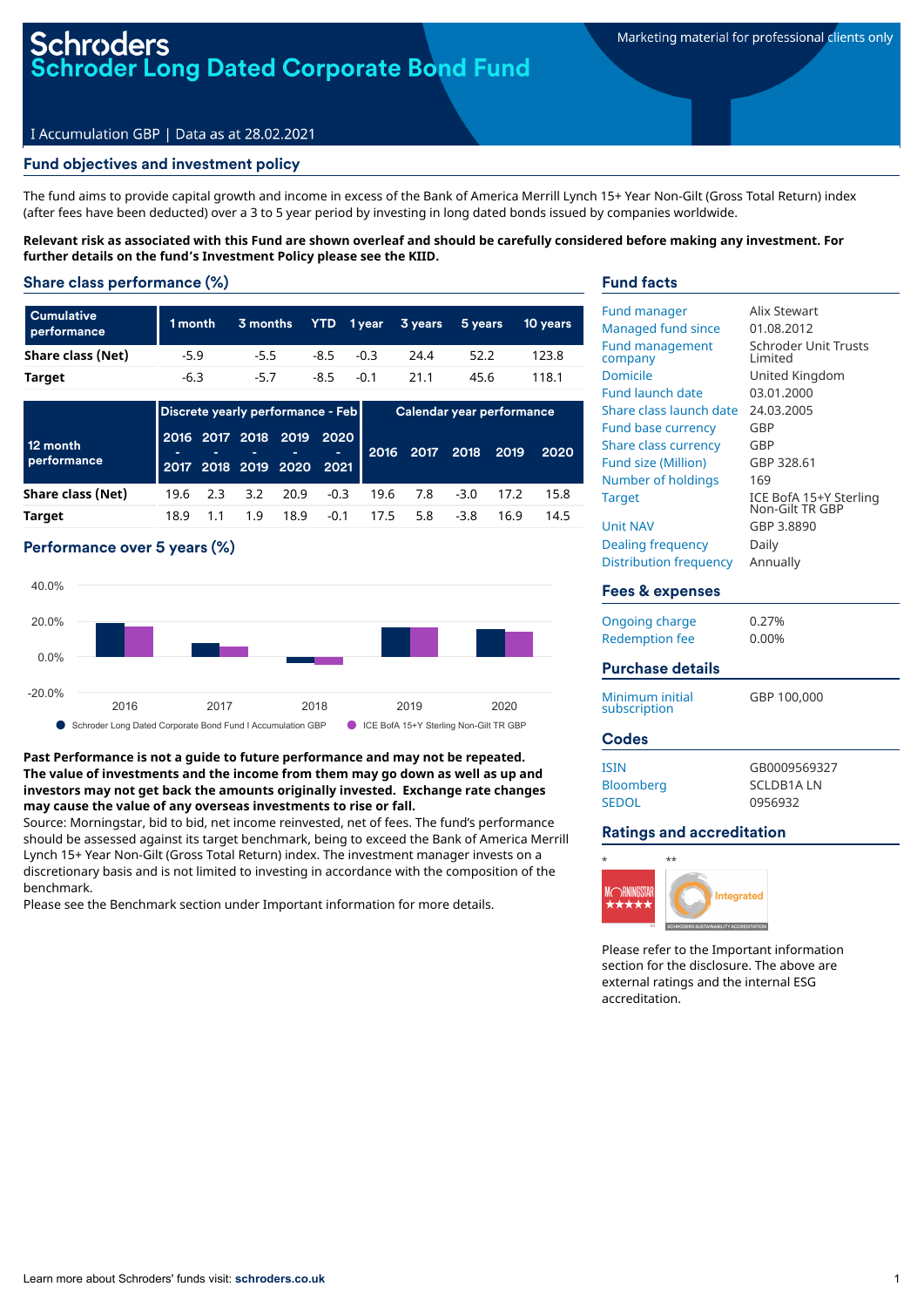## roders **Roder Long Dated Corporate Bond Fund**

### I Accumulation GBP | Data as at 28.02.2021

### Fund objectives and investment policy

The fund aims to provide capital growth and income in excess of the Bank of America Merrill Lynch 15+ Year Non-Gilt (Gross Total Return) index (after fees have been deducted) over a 3 to 5 year period by investing in long dated bonds issued by companies worldwide.

Relevant risk as associated with this Fund are shown overleaf and should be carefully considered before making any investment. For **further details on the fund's Investment Policy please see the KIID.**

### Share class performance (%)

| <b>Cumulative</b><br>performance | 1 month | 3 months |              | YTD 1year 3years | 5 years | 10 vears |
|----------------------------------|---------|----------|--------------|------------------|---------|----------|
| Share class (Net)                | $-5.9$  | $-5.5$   | $-8.5 - 0.3$ | 24.4             | 52.2    | 123.8    |
| <b>Target</b>                    | $-6.3$  | $-5.7$   | $-8.5 - 0.1$ | 21.1             | 45.6    | 118.1    |

|                         | Discrete yearly performance - Feb |  |          |      | Calendar year performance                            |      |     |                     |      |      |
|-------------------------|-----------------------------------|--|----------|------|------------------------------------------------------|------|-----|---------------------|------|------|
| 12 month<br>performance |                                   |  |          |      | 2016 2017 2018 2019 2020<br>2017 2018 2019 2020 2021 |      |     | 2016 2017 2018 2019 |      | 2020 |
| Share class (Net)       | 19.6 2.3                          |  | 3.2 20.9 |      | $-0.3$                                               | 19.6 | 7.8 | $-3.0$              | 17.2 | 15.8 |
| <b>Target</b>           | 18.9                              |  | 19       | 18.9 | $-0.1$                                               | 17.5 | 5.8 | $-3.8$              | 16.9 | 14.5 |

## Performance over 5 years (%)



### **Past Performance is not a guide to future performance and may not be repeated. The value of investments and the income from them may go down as well as up and investors may not get back the amounts originally invested. Exchange rate changes may cause the value of any overseas investments to rise or fall.**

Source: Morningstar, bid to bid, net income reinvested, net of fees. The fund's performance should be assessed against its target benchmark, being to exceed the Bank of America Merrill Lynch 15+ Year Non-Gilt (Gross Total Return) index. The investment manager invests on a discretionary basis and is not limited to investing in accordance with the composition of the benchmark.

Please see the Benchmark section under Important information for more details.

### Fund facts

| <b>Fund manager</b>               | Alix Stewart                              |
|-----------------------------------|-------------------------------------------|
| Managed fund since                | 01.08.2012                                |
| <b>Fund management</b><br>company | Schroder Unit Trusts<br>l imited          |
| Domicile                          | United Kingdom                            |
| <b>Fund launch date</b>           | 03.01.2000                                |
| Share class launch date           | 24.03.2005                                |
| <b>Fund base currency</b>         | GBP                                       |
| Share class currency              | GBP                                       |
| Fund size (Million)               | GBP 328.61                                |
| Number of holdings                | 169                                       |
| <b>Target</b>                     | ICE BofA 15+Y Sterling<br>Non-Gilt TR GBP |
| <b>Unit NAV</b>                   | GBP 3.8890                                |
| Dealing frequency                 | Daily                                     |
| Distribution frequency            | Annually                                  |
|                                   |                                           |
| Fees & expenses                   |                                           |
| Ongoing charge                    | 0.27%                                     |
| <b>Redemption fee</b>             | 0.00%                                     |
|                                   |                                           |
| <b>Purchase details</b>           |                                           |
| Minimum initial<br>subscription   | GBP 100,000                               |

#### Codes

| isin             |  |
|------------------|--|
| <b>Bloomberg</b> |  |
| SEDOL            |  |

GB0009569327 SCLDB1A LN 0956932

### Ratings and accreditation



Please refer to the Important information section for the disclosure. The above are external ratings and the internal ESG accreditation.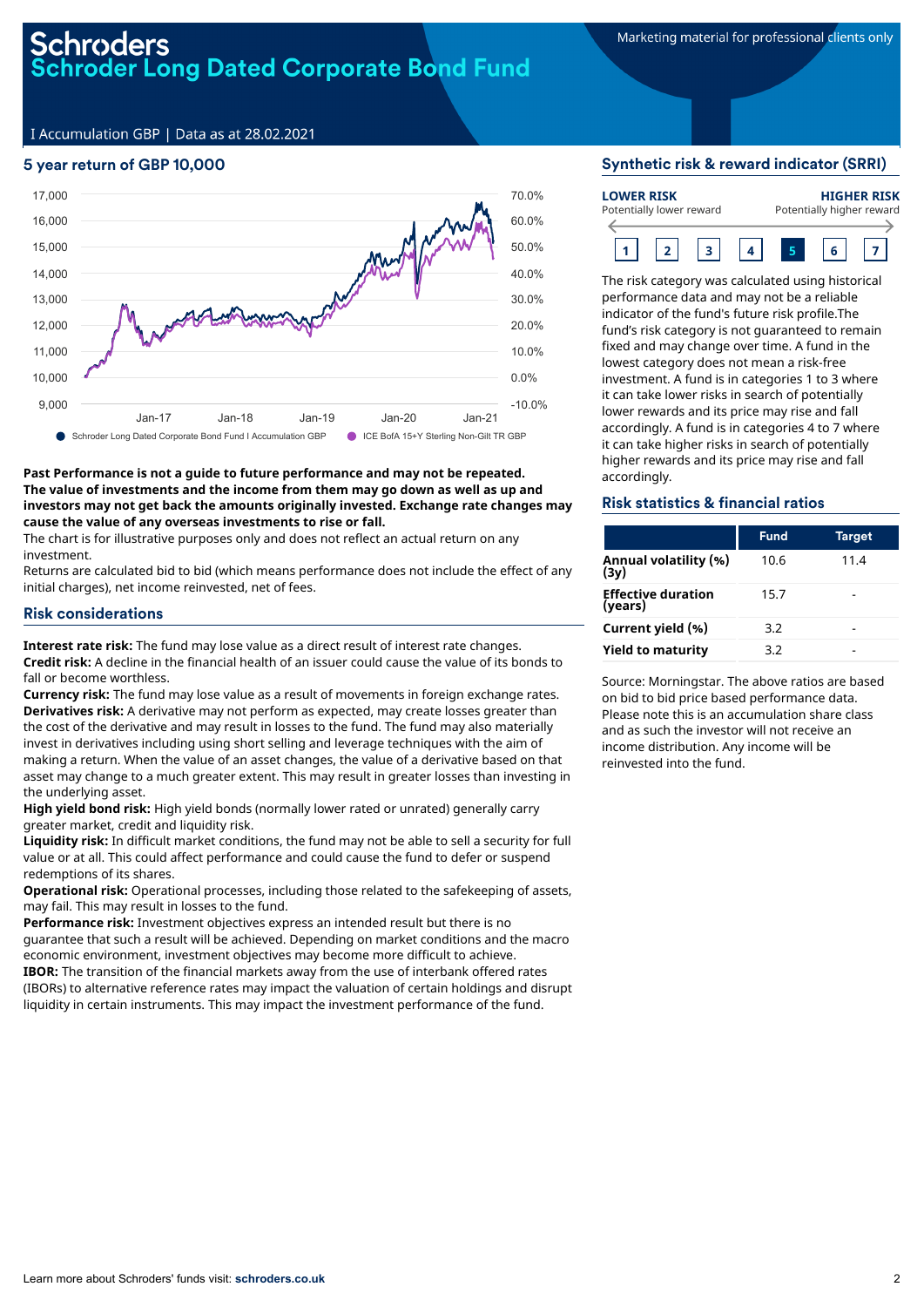I Accumulation GBP | Data as at 28.02.2021

## 5 year return of GBP 10,000



### **Past Performance is not a guide to future performance and may not be repeated. The value of investments and the income from them may go down as well as up and investors may not get back the amounts originally invested. Exchange rate changes may cause the value of any overseas investments to rise or fall.**

The chart is for illustrative purposes only and does not reflect an actual return on any investment.

Returns are calculated bid to bid (which means performance does not include the effect of any initial charges), net income reinvested, net of fees.

### Risk considerations

**Interest rate risk:** The fund may lose value as a direct result of interest rate changes. **Credit risk:** A decline in the financial health of an issuer could cause the value of its bonds to fall or become worthless.

**Currency risk:** The fund may lose value as a result of movements in foreign exchange rates. **Derivatives risk:** A derivative may not perform as expected, may create losses greater than the cost of the derivative and may result in losses to the fund. The fund may also materially invest in derivatives including using short selling and leverage techniques with the aim of making a return. When the value of an asset changes, the value of a derivative based on that asset may change to a much greater extent. This may result in greater losses than investing in the underlying asset.

**High yield bond risk:** High yield bonds (normally lower rated or unrated) generally carry greater market, credit and liquidity risk.

**Liquidity risk:** In difficult market conditions, the fund may not be able to sell a security for full value or at all. This could affect performance and could cause the fund to defer or suspend redemptions of its shares.

**Operational risk:** Operational processes, including those related to the safekeeping of assets, may fail. This may result in losses to the fund.

**Performance risk:** Investment objectives express an intended result but there is no guarantee that such a result will be achieved. Depending on market conditions and the macro economic environment, investment objectives may become more difficult to achieve. **IBOR:** The transition of the financial markets away from the use of interbank offered rates (IBORs) to alternative reference rates may impact the valuation of certain holdings and disrupt liquidity in certain instruments. This may impact the investment performance of the fund.

### Synthetic risk & reward indicator (SRRI)

| <b>LOWER RISK</b>        |  |  |  | <b>HIGHER RISK</b>        |  |  |  |  |
|--------------------------|--|--|--|---------------------------|--|--|--|--|
| Potentially lower reward |  |  |  | Potentially higher reward |  |  |  |  |
|                          |  |  |  |                           |  |  |  |  |

The risk category was calculated using historical performance data and may not be a reliable indicator of the fund's future risk profile.The fund's risk category is not guaranteed to remain fixed and may change over time. A fund in the lowest category does not mean a risk-free investment. A fund is in categories 1 to 3 where it can take lower risks in search of potentially lower rewards and its price may rise and fall accordingly. A fund is in categories 4 to 7 where it can take higher risks in search of potentially higher rewards and its price may rise and fall accordingly.

### Risk statistics & financial ratios

|                                      | <b>Fund</b> | <b>Target</b> |
|--------------------------------------|-------------|---------------|
| Annual volatility (%)<br>(3y)        | 10.6        | 11.4          |
| <b>Effective duration</b><br>(years) | 15.7        |               |
| Current yield (%)                    | 3.2         |               |
| <b>Yield to maturity</b>             | 3.2         |               |

Source: Morningstar. The above ratios are based on bid to bid price based performance data. Please note this is an accumulation share class and as such the investor will not receive an income distribution. Any income will be reinvested into the fund.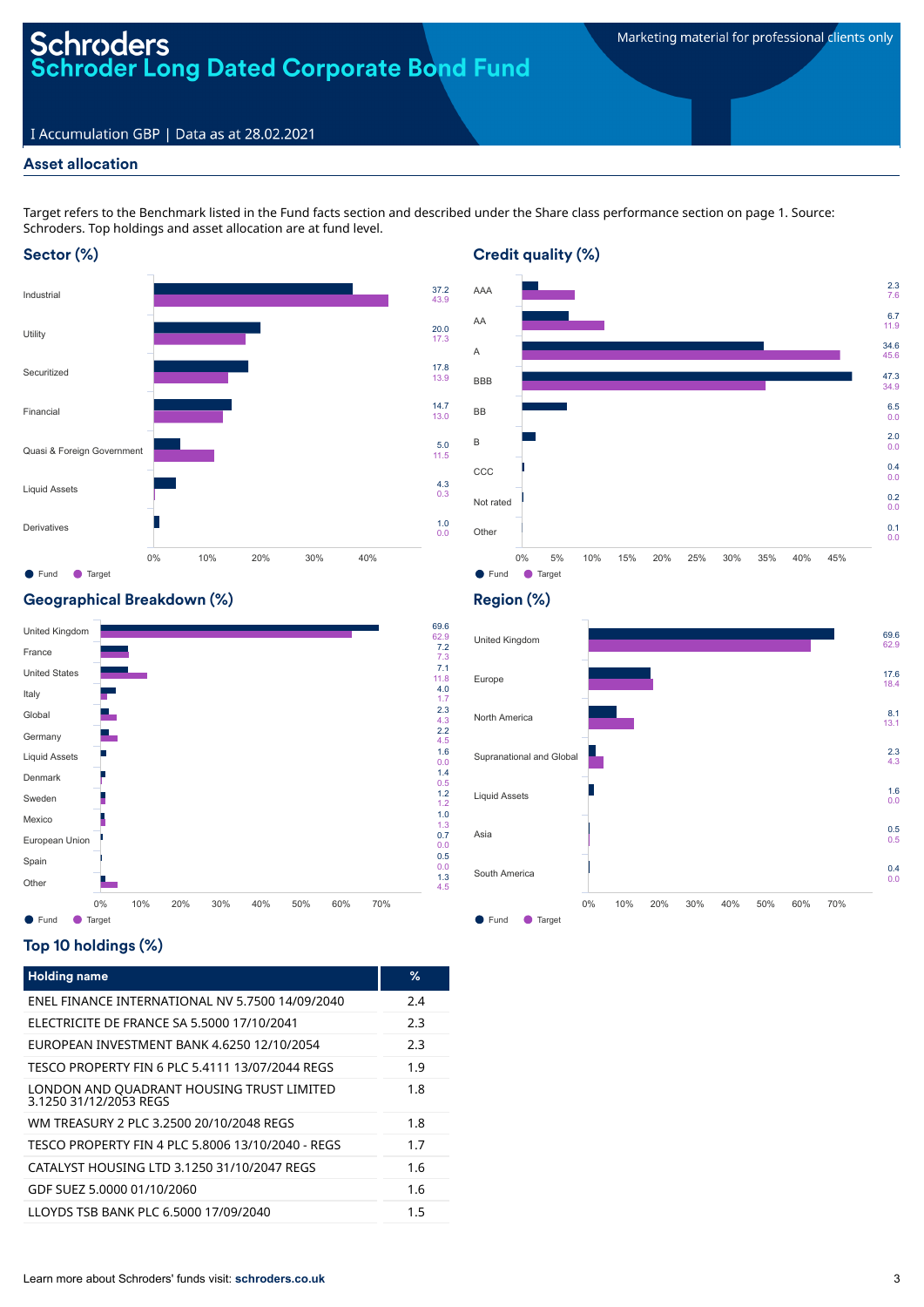# **Schroders Schroder Long Dated Corporate Bond Fund**

## I Accumulation GBP | Data as at 28.02.2021

## Asset allocation

Target refers to the Benchmark listed in the Fund facts section and described under the Share class performance section on page 1. Source: Schroders. Top holdings and asset allocation are at fund level.

## Sector (%)





## Geographical Breakdown (%)



## Top 10 holdings (%)

| <b>Holding name</b>                                                 | %   |
|---------------------------------------------------------------------|-----|
| ENEL FINANCE INTERNATIONAL NV 5.7500 14/09/2040                     | 2.4 |
| ELECTRICITE DE FRANCE SA 5.5000 17/10/2041                          | 2.3 |
| FUROPFAN INVESTMENT BANK 4.6250 12/10/2054                          | 2.3 |
| TESCO PROPERTY FIN 6 PLC 5.4111 13/07/2044 REGS                     | 1.9 |
| LONDON AND QUADRANT HOUSING TRUST LIMITED<br>3.1250 31/12/2053 RFGS | 1.8 |
| WM TREASURY 2 PLC 3.2500 20/10/2048 REGS                            | 1.8 |
| TESCO PROPERTY FIN 4 PLC 5.8006 13/10/2040 - REGS                   | 1.7 |
| CATALYST HOUSING LTD 3.1250 31/10/2047 REGS                         | 1.6 |
| GDF SUEZ 5,0000 01/10/2060                                          | 1.6 |
| LLOYDS TSB BANK PLC 6.5000 17/09/2040                               | 1.5 |

## Region (%)